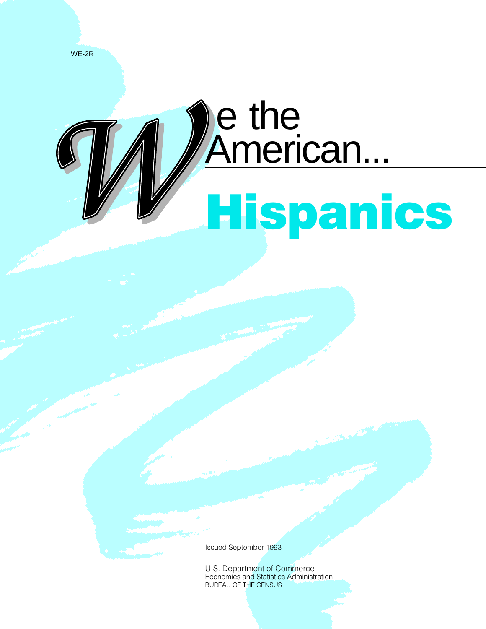

# e the<br>American... **Hispanics**

**Issued September 1993** 

U.S. Department of Commerce Economics and Statistics Administration BUREAU OF THE CENSUS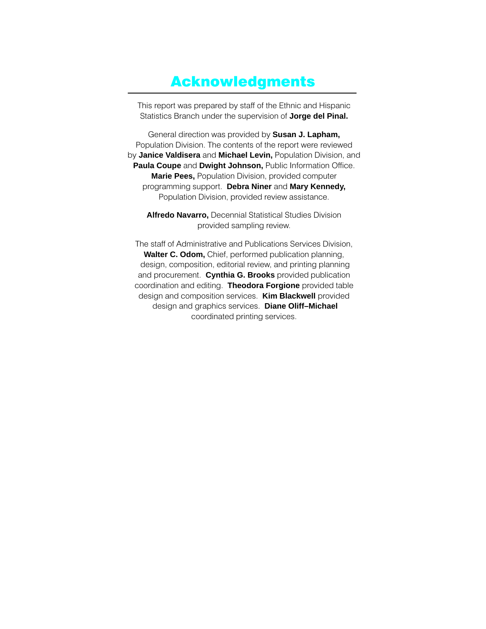### **Acknowledgments**

This report was prepared by staff of the Ethnic and Hispanic Statistics Branch under the supervision of Jorge del Pinal.

General direction was provided by **Susan J. Lapham,** Population Division. The contents of the report were reviewed by Janice Valdisera and Michael Levin, Population Division, and Paula Coupe and Dwight Johnson, Public Information Office. **Marie Pees, Population Division, provided computer** programming support. Debra Niner and Mary Kennedy, Population Division, provided review assistance.

**Alfredo Navarro, Decennial Statistical Studies Division** provided sampling review.

The staff of Administrative and Publications Services Division, **Walter C. Odom,** Chief, performed publication planning, design, composition, editorial review, and printing planning and procurement. Cynthia G. Brooks provided publication coordination and editing. Theodora Forgione provided table design and composition services. **Kim Blackwell** provided design and graphics services. Diane Oliff-Michael coordinated printing services.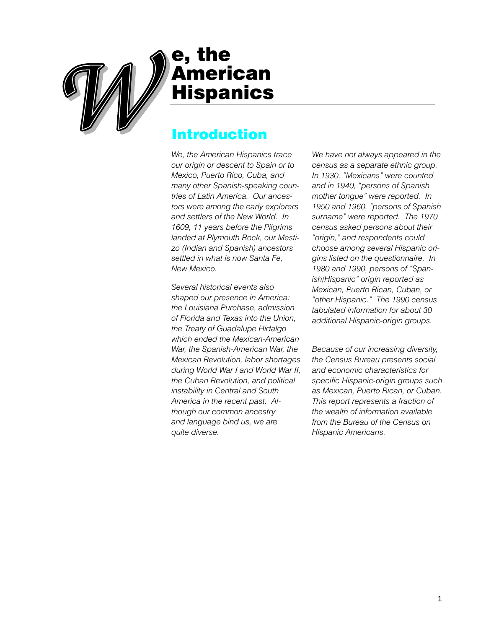

# e, the<br>//American **Hispanics**

## **Introduction**

We, the American Hispanics trace our origin or descent to Spain or to Mexico, Puerto Rico, Cuba, and many other Spanish-speaking countries of Latin America. Our ancestors were among the early explorers and settlers of the New World. In 1609, 11 years before the Pilgrims landed at Plymouth Rock, our Mestizo (Indian and Spanish) ancestors settled in what is now Santa Fe. New Mexico.

Several historical events also shaped our presence in America: the Louisiana Purchase, admission of Florida and Texas into the Union, the Treaty of Guadalupe Hidalgo which ended the Mexican-American War, the Spanish-American War, the Mexican Revolution, labor shortages during World War I and World War II, the Cuban Revolution, and political instability in Central and South America in the recent past. Although our common ancestry and language bind us, we are quite diverse.

We have not always appeared in the census as a separate ethnic group. In 1930, "Mexicans" were counted and in 1940, "persons of Spanish mother tongue" were reported. In 1950 and 1960, "persons of Spanish surname" were reported. The 1970 census asked persons about their "origin," and respondents could choose among several Hispanic origins listed on the questionnaire. In 1980 and 1990, persons of "Spanish/Hispanic" origin reported as Mexican, Puerto Rican, Cuban, or "other Hispanic." The 1990 census tabulated information for about 30 additional Hispanic-origin groups.

Because of our increasing diversity, the Census Bureau presents social and economic characteristics for specific Hispanic-origin groups such as Mexican, Puerto Rican, or Cuban. This report represents a fraction of the wealth of information available from the Bureau of the Census on Hispanic Americans.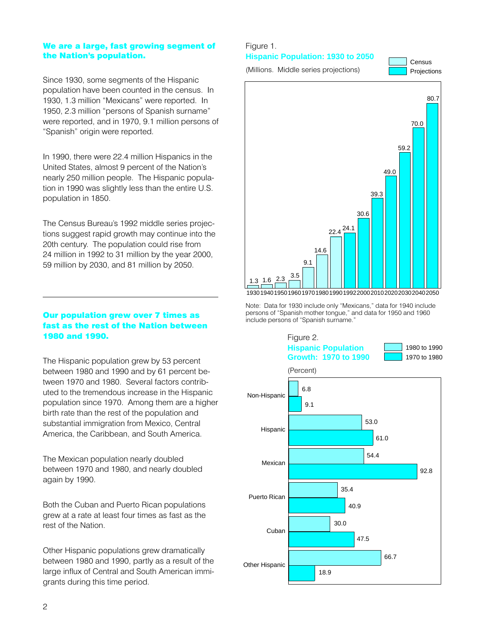#### We are a large, fast growing segment of the Nation's population.

Since 1930, some segments of the Hispanic population have been counted in the census. In 1930, 1.3 million "Mexicans" were reported. In 1950, 2.3 million "persons of Spanish surname" were reported, and in 1970, 9.1 million persons of "Spanish" origin were reported.

In 1990, there were 22.4 million Hispanics in the United States, almost 9 percent of the Nation's nearly 250 million people. The Hispanic population in 1990 was slightly less than the entire U.S. population in 1850.

The Census Bureau's 1992 middle series projections suggest rapid growth may continue into the 20th century. The population could rise from 24 million in 1992 to 31 million by the year 2000, 59 million by 2030, and 81 million by 2050.

#### Our population grew over 7 times as fast as the rest of the Nation between 1980 and 1990.

The Hispanic population grew by 53 percent between 1980 and 1990 and by 61 percent between 1970 and 1980. Several factors contributed to the tremendous increase in the Hispanic population since 1970. Among them are a higher birth rate than the rest of the population and substantial immigration from Mexico, Central America, the Caribbean, and South America.

The Mexican population nearly doubled between 1970 and 1980, and nearly doubled again by 1990.

Both the Cuban and Puerto Rican populations grew at a rate at least four times as fast as the rest of the Nation.

Other Hispanic populations grew dramatically between 1980 and 1990, partly as a result of the large influx of Central and South American immigrants during this time period.

#### Figure 1.

**Hispanic Population: 1930 to 2050** 

(Millions. Middle series projections)

Census Projections



Note: Data for 1930 include only "Mexicans," data for 1940 include persons of "Spanish mother tongue," and data for 1950 and 1960 include persons of "Spanish surname."

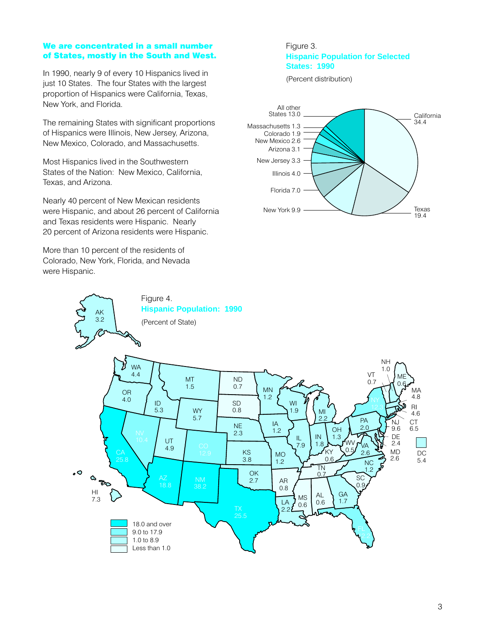#### We are concentrated in a small number of States, mostly in the South and West.

In 1990, nearly 9 of every 10 Hispanics lived in just 10 States. The four States with the largest proportion of Hispanics were California, Texas, New York, and Florida.

The remaining States with significant proportions of Hispanics were Illinois, New Jersey, Arizona, New Mexico, Colorado, and Massachusetts.

Most Hispanics lived in the Southwestern States of the Nation: New Mexico, California, Texas, and Arizona.

Nearly 40 percent of New Mexican residents were Hispanic, and about 26 percent of California and Texas residents were Hispanic. Nearly 20 percent of Arizona residents were Hispanic.

Figure 4.

**Hispanic Population: 1990** 

More than 10 percent of the residents of Colorado, New York, Florida, and Nevada were Hispanic.

**AK** 

#### Figure 3. **Hispanic Population for Selected States: 1990**

(Percent distribution)



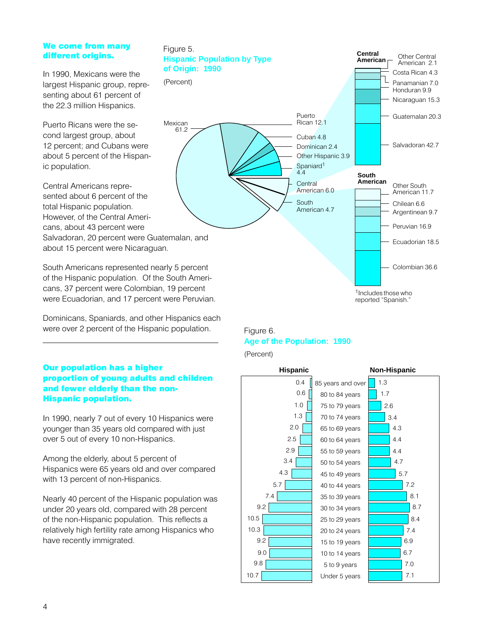#### We come from many different origins.

In 1990. Mexicans were the largest Hispanic group, representing about 61 percent of the 22.3 million Hispanics.

Puerto Ricans were the second largest group, about 12 percent; and Cubans were about 5 percent of the Hispanic population.

Central Americans represented about 6 percent of the total Hispanic population. However, of the Central Americans, about 43 percent were Salvadoran, 20 percent were Guatemalan, and about 15 percent were Nicaraguan.

South Americans represented nearly 5 percent of the Hispanic population. Of the South Americans, 37 percent were Colombian, 19 percent were Ecuadorian, and 17 percent were Peruvian.

Dominicans, Spaniards, and other Hispanics each were over 2 percent of the Hispanic population.

#### **Our population has a higher** proportion of young adults and children and fewer elderly than the non-**Hispanic population.**

In 1990, nearly 7 out of every 10 Hispanics were younger than 35 years old compared with just over 5 out of every 10 non-Hispanics.

Among the elderly, about 5 percent of Hispanics were 65 years old and over compared with 13 percent of non-Hispanics.

Nearly 40 percent of the Hispanic population was under 20 years old, compared with 28 percent of the non-Hispanic population. This reflects a relatively high fertility rate among Hispanics who have recently immigrated.



<sup>&</sup>lt;sup>1</sup> Includes those who reported "Spanish."



(Percent)

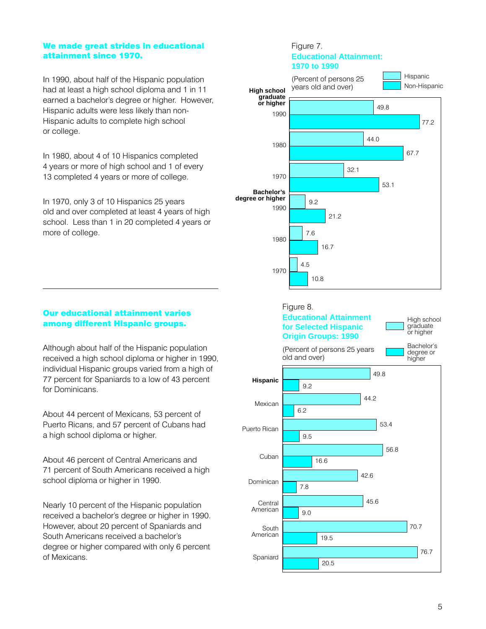#### We made great strides in educational attainment since 1970.

In 1990, about half of the Hispanic population had at least a high school diploma and 1 in 11 earned a bachelor's degree or higher. However, Hispanic adults were less likely than non-Hispanic adults to complete high school or college.

In 1980, about 4 of 10 Hispanics completed 4 years or more of high school and 1 of every 13 completed 4 years or more of college.

In 1970, only 3 of 10 Hispanics 25 years old and over completed at least 4 years of high school. Less than 1 in 20 completed 4 years or more of college.



Although about half of the Hispanic population received a high school diploma or higher in 1990, individual Hispanic groups varied from a high of 77 percent for Spaniards to a low of 43 percent for Dominicans.

About 44 percent of Mexicans, 53 percent of Puerto Ricans, and 57 percent of Cubans had a high school diploma or higher.

About 46 percent of Central Americans and 71 percent of South Americans received a high school diploma or higher in 1990.

Nearly 10 percent of the Hispanic population received a bachelor's degree or higher in 1990. However, about 20 percent of Spaniards and South Americans received a bachelor's degree or higher compared with only 6 percent of Mexicans.





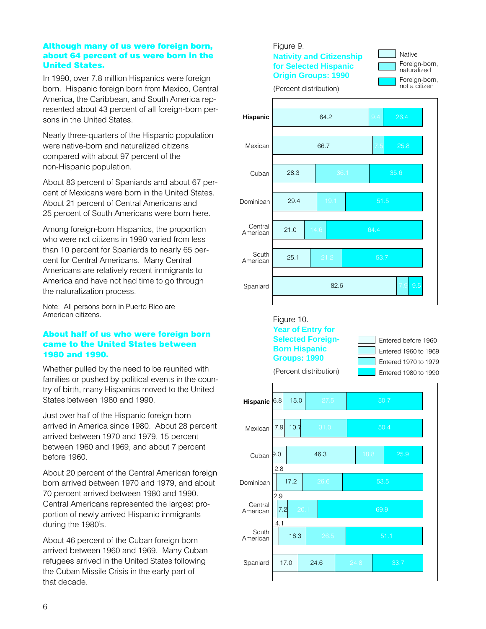#### Although many of us were foreign born, about 64 percent of us were born in the **United States.**

In 1990, over 7.8 million Hispanics were foreign born. Hispanic foreign born from Mexico, Central America, the Caribbean, and South America represented about 43 percent of all foreign-born persons in the United States.

Nearly three-quarters of the Hispanic population were native-born and naturalized citizens compared with about 97 percent of the non-Hispanic population.

About 83 percent of Spaniards and about 67 percent of Mexicans were born in the United States. About 21 percent of Central Americans and 25 percent of South Americans were born here.

Among foreign-born Hispanics, the proportion who were not citizens in 1990 varied from less than 10 percent for Spaniards to nearly 65 percent for Central Americans. Many Central Americans are relatively recent immigrants to America and have not had time to go through the naturalization process.

Note: All persons born in Puerto Rico are American citizens.

#### About half of us who were foreign born came to the United States between 1980 and 1990.

Whether pulled by the need to be reunited with families or pushed by political events in the country of birth, many Hispanics moved to the United States between 1980 and 1990.

Just over half of the Hispanic foreign born arrived in America since 1980. About 28 percent arrived between 1970 and 1979, 15 percent between 1960 and 1969, and about 7 percent before 1960.

About 20 percent of the Central American foreign born arrived between 1970 and 1979, and about 70 percent arrived between 1980 and 1990. Central Americans represented the largest proportion of newly arrived Hispanic immigrants during the 1980's.

About 46 percent of the Cuban foreign born arrived between 1960 and 1969. Many Cuban refugees arrived in the United States following the Cuban Missile Crisis in the early part of that decade.

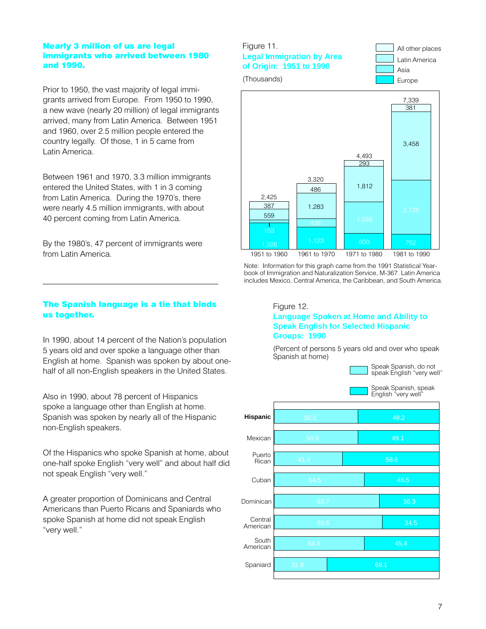#### **Nearly 3 million of us are legal** immigrants who arrived between 1980 and 1990.

Prior to 1950, the vast majority of legal immigrants arrived from Europe. From 1950 to 1990, a new wave (nearly 20 million) of legal immigrants arrived, many from Latin America. Between 1951 and 1960, over 2.5 million people entered the country legally. Of those, 1 in 5 came from I atin America

Between 1961 and 1970, 3.3 million immigrants entered the United States, with 1 in 3 coming from Latin America. During the 1970's, there were nearly 4.5 million immigrants, with about 40 percent coming from Latin America.

By the 1980's, 47 percent of immigrants were from Latin America.

#### Figure 11. **Legal Immigration by Area of Origin: 1951 to 1990**







Note: Information for this graph came from the 1991 Statistical Yearbook of Immigration and Naturalization Service, M-367. Latin America includes Mexico, Central America, the Caribbean, and South America.

#### The Spanish language is a tie that binds us together.

In 1990, about 14 percent of the Nation's population 5 years old and over spoke a language other than English at home. Spanish was spoken by about onehalf of all non-English speakers in the United States.

Also in 1990, about 78 percent of Hispanics spoke a language other than English at home. Spanish was spoken by nearly all of the Hispanic non-English speakers.

Of the Hispanics who spoke Spanish at home, about one-half spoke English "very well" and about half did not speak English "very well."

A greater proportion of Dominicans and Central Americans than Puerto Ricans and Spaniards who spoke Spanish at home did not speak English "very well."

#### Figure 12. **Language Spoken at Home and Ability to Speak English for Selected Hispanic Groups: 1990**

(Percent of persons 5 years old and over who speak Spanish at home)

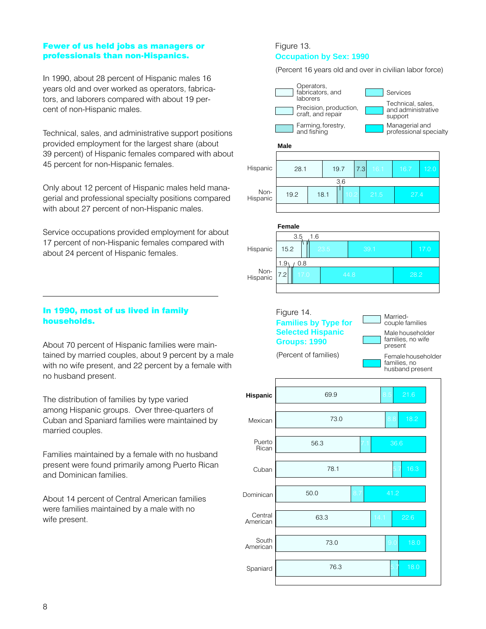#### Fewer of us held jobs as managers or professionals than non-Hispanics.

In 1990, about 28 percent of Hispanic males 16 years old and over worked as operators, fabricators, and laborers compared with about 19 percent of non-Hispanic males.

Technical, sales, and administrative support positions provided employment for the largest share (about 39 percent) of Hispanic females compared with about 45 percent for non-Hispanic females.

Only about 12 percent of Hispanic males held managerial and professional specialty positions compared with about 27 percent of non-Hispanic males.

Service occupations provided employment for about 17 percent of non-Hispanic females compared with about 24 percent of Hispanic females.

#### In 1990, most of us lived in family households.

About 70 percent of Hispanic families were maintained by married couples, about 9 percent by a male with no wife present, and 22 percent by a female with no husband present.

The distribution of families by type varied among Hispanic groups. Over three-quarters of Cuban and Spaniard families were maintained by married couples.

Families maintained by a female with no husband present were found primarily among Puerto Rican and Dominican families.

About 14 percent of Central American families were families maintained by a male with no wife present.

#### Figure 13. **Occupation by Sex: 1990**

(Percent 16 years old and over in civilian labor force)

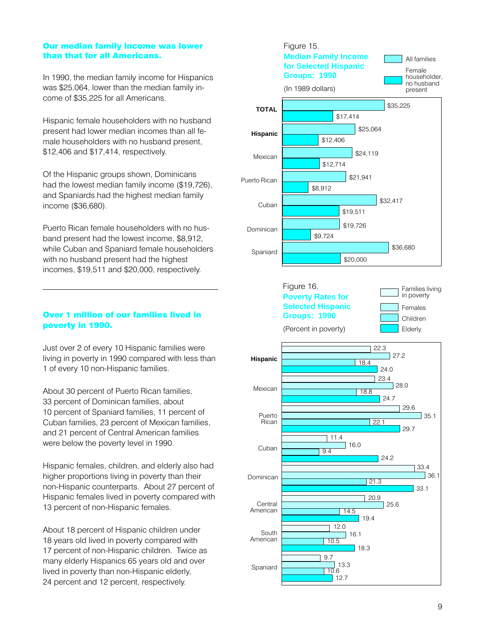#### Our median family income was lower than that for all Americans.

In 1990, the median family income for Hispanics was \$25,064, lower than the median family income of \$35,225 for all Americans.

Hispanic female householders with no husband present had lower median incomes than all female householders with no husband present. \$12,406 and \$17,414, respectively.

Of the Hispanic groups shown, Dominicans had the lowest median family income (\$19,726), and Spaniards had the highest median family income (\$36,680).

Puerto Rican female householders with no husband present had the lowest income, \$8,912, while Cuban and Spaniard female householders with no husband present had the highest incomes, \$19,511 and \$20,000, respectively.

#### Over 1 million of our families lived in poverty in 1990.

Just over 2 of every 10 Hispanic families were living in poverty in 1990 compared with less than 1 of every 10 non-Hispanic families.

About 30 percent of Puerto Rican families, 33 percent of Dominican families, about 10 percent of Spaniard families, 11 percent of Cuban families, 23 percent of Mexican families, and 21 percent of Central American families were below the poverty level in 1990.

Hispanic females, children, and elderly also had higher proportions living in poverty than their non-Hispanic counterparts. About 27 percent of Hispanic females lived in poverty compared with 13 percent of non-Hispanic females.

About 18 percent of Hispanic children under 18 years old lived in poverty compared with 17 percent of non-Hispanic children. Twice as many elderly Hispanics 65 years old and over lived in poverty than non-Hispanic elderly, 24 percent and 12 percent, respectively.